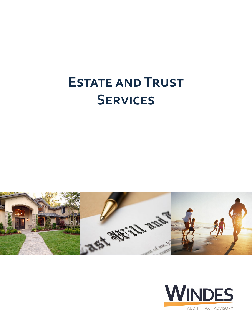# **ESTATE AND TRUST Services**



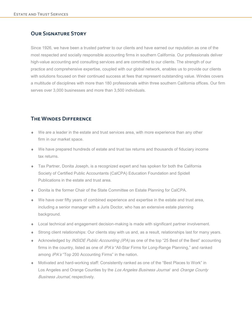#### **Our Signature Story**

Since 1926, we have been a trusted partner to our clients and have earned our reputation as one of the most respected and socially responsible accounting firms in southern California. Our professionals deliver high-value accounting and consulting services and are committed to our clients. The strength of our practice and comprehensive expertise, coupled with our global network, enables us to provide our clients with solutions focused on their continued success at fees that represent outstanding value. Windes covers a multitude of disciplines with more than 180 professionals within three southern California offices. Our firm serves over 3,000 businesses and more than 3,500 individuals.

## **The Windes Difference**

- We are a leader in the estate and trust services area, with more experience than any other firm in our market space.
- We have prepared hundreds of estate and trust tax returns and thousands of fiduciary income tax returns.
- Tax Partner, Donita Joseph, is a recognized expert and has spoken for both the California Society of Certified Public Accountants (CalCPA) Education Foundation and Spidell Publications in the estate and trust area.
- Donita is the former Chair of the State Committee on Estate Planning for CalCPA.
- We have over fifty years of combined experience and expertise in the estate and trust area, including a senior manager with a Juris Doctor, who has an extensive estate planning background.
- Local technical and engagement decision-making is made with significant partner involvement. ٠
- Strong client relationships: Our clients stay with us and, as a result, relationships last for many years.
- Acknowledged by *INSIDE Public Accounting (IPA)* as one of the top "25 Best of the Best" accounting  $\Delta$ firms in the country, listed as one of IPA's "All-Star Firms for Long-Range Planning," and ranked among IPA's "Top 200 Accounting Firms" in the nation.
- Motivated and hard-working staff: Consistently ranked as one of the "Best Places to Work" in Los Angeles and Orange Counties by the Los Angeles Business Journal and Orange County Business Journal, respectively.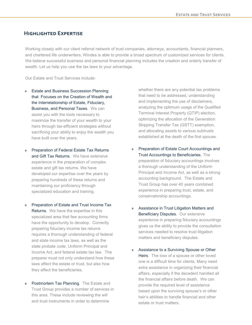#### **Highlighted Expertise**

Working closely with our client referral network of trust companies, attorneys, accountants, financial planners, and chartered life underwriters, Windes is able to provide a broad spectrum of customized services for clients. We believe successful business and personal financial planning includes the creation and orderly transfer of wealth. Let us help you use the tax laws to your advantage.

Our Estate and Trust Services include:

- ◆ Estate and Business Succession Planning that Focuses on the Creation of Wealth and the Interrelationship of Estate, Fiduciary, Business, and Personal Taxes. We can assist you with the tools necessary to maximize the transfer of your wealth to your heirs through tax-efficient strategies without sacrificing your ability to enjoy the wealth you have built over the years.
- Preparation of Federal Estate Tax Returns and Gift Tax Returns. We have extensive experience in the preparation of complex estate and gift tax returns. We have developed our expertise over the years by preparing hundreds of these returns and maintaining our proficiency through specialized education and training.
- ♦ Preparation of Estate and Trust Income Tax Returns. We have the expertise in this specialized area that few accounting firms have the opportunity to develop. Correctly preparing fiduciary income tax returns requires a thorough understanding of federal and state income tax laws, as well as the state probate code, Uniform Principal and Income Act, and federal estate tax law. The preparer must not only understand how these laws affect the estate or trust, but also how they affect the beneficiaries.
- **Postmortem Tax Planning.** The Estate and Trust Group provides a number of services in this area. These include reviewing the will and trust instruments in order to determine

whether there are any potential tax problems that need to be addressed, understanding and implementing the use of disclaimers, analyzing the optimum usage of the Qualified Terminal Interest Property (QTIP) election, optimizing the allocation of the Generation Skipping Transfer Tax (GSTT) exemption, and allocating assets to various subtrusts established at the death of the first spouse.

- Preparation of Estate Court Accountings and Trust Accountings to Beneficiaries. The preparation of fiduciary accountings involves a thorough understanding of the Uniform Principal and Income Act, as well as a strong accounting background. The Estate and Trust Group has over 40 years combined experience in preparing trust, estate, and conservatorship accountings.
- ◆ Assistance in Trust Litigation Matters and Beneficiary Disputes. Our extensive experience in preparing fiduciary accountings gives us the ability to provide the consultation services needed to resolve trust litigation matters and beneficiary disputes.
- ◆ Assistance to a Surviving Spouse or Other Heirs. The loss of a spouse or other loved one is a difficult time for clients. Many need extra assistance in organizing their financial affairs, especially if the decedent handled all the financial affairs before death. We can provide the required level of assistance based upon the surviving spouse's or other heir's abilities to handle financial and other estate or trust matters.